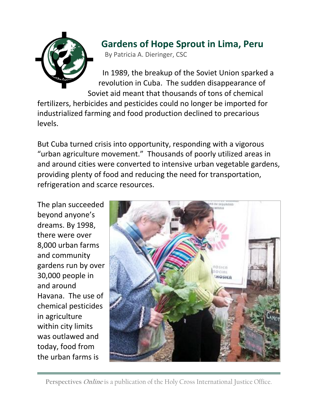

## **Gardens of Hope Sprout in Lima, Peru**

By Patricia A. Dieringer, CSC

In 1989, the breakup of the Soviet Union sparked a revolution in Cuba. The sudden disappearance of Soviet aid meant that thousands of tons of chemical

fertilizers, herbicides and pesticides could no longer be imported for industrialized farming and food production declined to precarious levels.

But Cuba turned crisis into opportunity, responding with a vigorous "urban agriculture movement." Thousands of poorly utilized areas in and around cities were converted to intensive urban vegetable gardens, providing plenty of food and reducing the need for transportation, refrigeration and scarce resources.

The plan succeeded beyond anyone's dreams. By 1998, there were over 8,000 urban farms and community gardens run by over 30,000 people in and around Havana. The use of chemical pesticides in agriculture within city limits was outlawed and today, food from the urban farms is

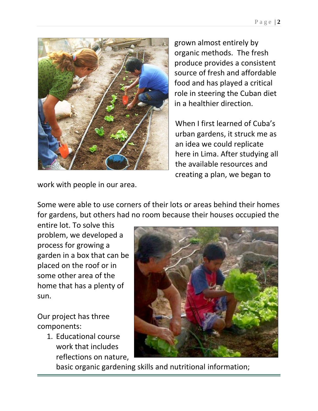

grown almost entirely by organic methods. The fresh produce provides a consistent source of fresh and affordable food and has played a critical role in steering the Cuban diet in a healthier direction.

When I first learned of Cuba's urban gardens, it struck me as an idea we could replicate here in Lima. After studying all the available resources and creating a plan, we began to

work with people in our area.

Some were able to use corners of their lots or areas behind their homes for gardens, but others had no room because their houses occupied the

entire lot. To solve this problem, we developed a process for growing a garden in a box that can be placed on the roof or in some other area of the home that has a plenty of sun.

Our project has three components:

> 1. Educational course work that includes reflections on nature,



basic organic gardening skills and nutritional information;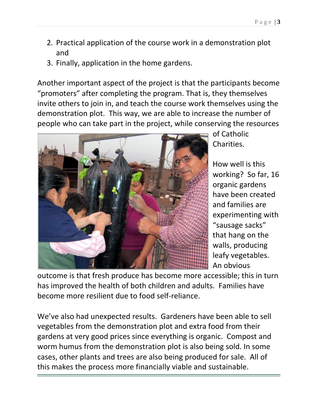- 2. Practical application of the course work in a demonstration plot and
- 3. Finally, application in the home gardens.

Another important aspect of the project is that the participants become "promoters" after completing the program. That is, they themselves invite others to join in, and teach the course work themselves using the demonstration plot. This way, we are able to increase the number of people who can take part in the project, while conserving the resources



of Catholic Charities.

How well is this working? So far, 16 organic gardens have been created and families are experimenting with "sausage sacks" that hang on the walls, producing leafy vegetables. An obvious

outcome is that fresh produce has become more accessible; this in turn has improved the health of both children and adults. Families have become more resilient due to food self-reliance.

We've also had unexpected results. Gardeners have been able to sell vegetables from the demonstration plot and extra food from their gardens at very good prices since everything is organic. Compost and worm humus from the demonstration plot is also being sold. In some cases, other plants and trees are also being produced for sale. All of this makes the process more financially viable and sustainable.